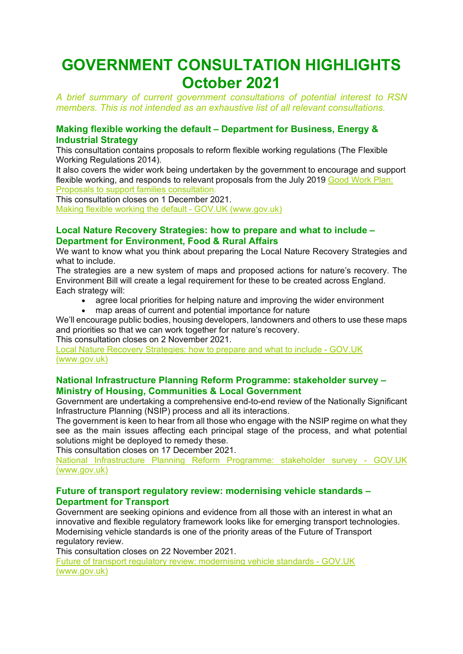# **GOVERNMENT CONSULTATION HIGHLIGHTS October 2021**

*A brief summary of current government consultations of potential interest to RSN members. This is not intended as an exhaustive list of all relevant consultations.*

## **Making flexible working the default – Department for Business, Energy & Industrial Strategy**

This consultation contains proposals to reform flexible working regulations (The Flexible Working Regulations 2014).

It also covers the wider work being undertaken by the government to encourage and support flexible working, and responds to relevant proposals from the July 2019 [Good](https://www.gov.uk/government/consultations/good-work-plan-proposals-to-support-families) Work Plan: Proposals to support families [consultation.](https://www.gov.uk/government/consultations/good-work-plan-proposals-to-support-families)

This consultation closes on 1 December 2021.

[Making flexible working the default -](https://www.gov.uk/government/consultations/making-flexible-working-the-default) GOV.UK (www.gov.uk)

### **Local Nature Recovery Strategies: how to prepare and what to include – Department for Environment, Food & Rural Affairs**

We want to know what you think about preparing the Local Nature Recovery Strategies and what to include.

The strategies are a new system of maps and proposed actions for nature's recovery. The Environment Bill will create a legal requirement for these to be created across England. Each strategy will:

- agree local priorities for helping nature and improving the wider environment
- map areas of current and potential importance for nature

We'll encourage public bodies, housing developers, landowners and others to use these maps and priorities so that we can work together for nature's recovery.

This consultation closes on 2 November 2021.

[Local Nature Recovery Strategies: how to prepare and what to include -](https://www.gov.uk/government/consultations/local-nature-recovery-strategies-how-to-prepare-and-what-to-include) GOV.UK [\(www.gov.uk\)](https://www.gov.uk/government/consultations/local-nature-recovery-strategies-how-to-prepare-and-what-to-include)

## **National Infrastructure Planning Reform Programme: stakeholder survey – Ministry of Housing, Communities & Local Government**

Government are undertaking a comprehensive end-to-end review of the Nationally Significant Infrastructure Planning (NSIP) process and all its interactions.

The government is keen to hear from all those who engage with the NSIP regime on what they see as the main issues affecting each principal stage of the process, and what potential solutions might be deployed to remedy these.

This consultation closes on 17 December 2021.

[National Infrastructure Planning Reform Programme: stakeholder survey -](https://www.gov.uk/government/consultations/national-infrastructure-planning-reform-programme-stakeholder-survey) GOV.UK [\(www.gov.uk\)](https://www.gov.uk/government/consultations/national-infrastructure-planning-reform-programme-stakeholder-survey)

### **Future of transport regulatory review: modernising vehicle standards – Department for Transport**

Government are seeking opinions and evidence from all those with an interest in what an innovative and flexible regulatory framework looks like for emerging transport technologies. Modernising vehicle standards is one of the priority areas of the Future of Transport regulatory review.

This consultation closes on 22 November 2021.

[Future of transport regulatory review: modernising vehicle standards -](https://www.gov.uk/government/consultations/future-of-transport-regulatory-review-modernising-vehicle-standards) GOV.UK [\(www.gov.uk\)](https://www.gov.uk/government/consultations/future-of-transport-regulatory-review-modernising-vehicle-standards)